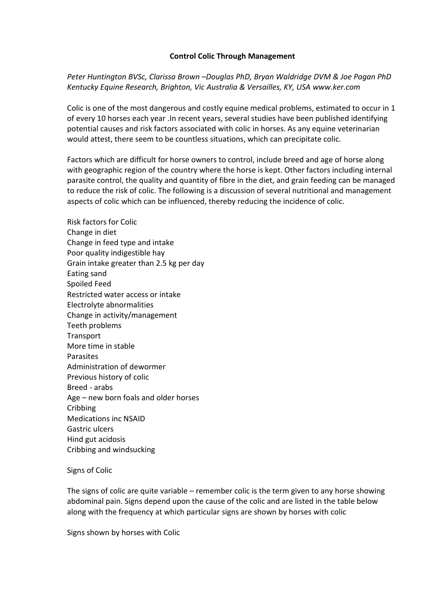# **Control Colic Through Management**

*Peter Huntington BVSc, Clarissa Brown –Douglas PhD, Bryan Waldridge DVM & Joe Pagan PhD Kentucky Equine Research, Brighton, Vic Australia & Versailles, KY, USA www.ker.com*

Colic is one of the most dangerous and costly equine medical problems, estimated to occur in 1 of every 10 horses each year .In recent years, several studies have been published identifying potential causes and risk factors associated with colic in horses. As any equine veterinarian would attest, there seem to be countless situations, which can precipitate colic.

Factors which are difficult for horse owners to control, include breed and age of horse along with geographic region of the country where the horse is kept. Other factors including internal parasite control, the quality and quantity of fibre in the diet, and grain feeding can be managed to reduce the risk of colic. The following is a discussion of several nutritional and management aspects of colic which can be influenced, thereby reducing the incidence of colic.

Risk factors for Colic Change in diet Change in feed type and intake Poor quality indigestible hay Grain intake greater than 2.5 kg per day Eating sand Spoiled Feed Restricted water access or intake Electrolyte abnormalities Change in activity/management Teeth problems **Transport** More time in stable Parasites Administration of dewormer Previous history of colic Breed - arabs Age – new born foals and older horses **Cribbing** Medications inc NSAID Gastric ulcers Hind gut acidosis Cribbing and windsucking

## Signs of Colic

The signs of colic are quite variable – remember colic is the term given to any horse showing abdominal pain. Signs depend upon the cause of the colic and are listed in the table below along with the frequency at which particular signs are shown by horses with colic

Signs shown by horses with Colic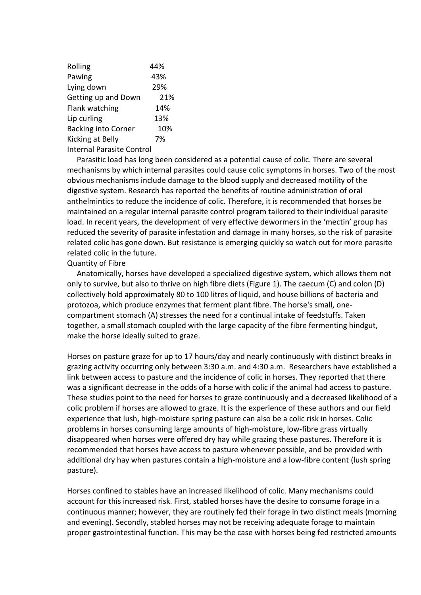| Rolling                          | 44% |
|----------------------------------|-----|
| Pawing                           | 43% |
| Lying down                       | 29% |
| Getting up and Down              | 21% |
| Flank watching                   | 14% |
| Lip curling                      | 13% |
| <b>Backing into Corner</b>       | 10% |
| Kicking at Belly                 | 7%  |
| <b>Internal Parasite Control</b> |     |

 Parasitic load has long been considered as a potential cause of colic. There are several mechanisms by which internal parasites could cause colic symptoms in horses. Two of the most obvious mechanisms include damage to the blood supply and decreased motility of the digestive system. Research has reported the benefits of routine administration of oral anthelmintics to reduce the incidence of colic. Therefore, it is recommended that horses be maintained on a regular internal parasite control program tailored to their individual parasite load. In recent years, the development of very effective dewormers in the 'mectin' group has reduced the severity of parasite infestation and damage in many horses, so the risk of parasite related colic has gone down. But resistance is emerging quickly so watch out for more parasite related colic in the future.

Quantity of Fibre

 Anatomically, horses have developed a specialized digestive system, which allows them not only to survive, but also to thrive on high fibre diets (Figure 1). The caecum (C) and colon (D) collectively hold approximately 80 to 100 litres of liquid, and house billions of bacteria and protozoa, which produce enzymes that ferment plant fibre. The horse's small, onecompartment stomach (A) stresses the need for a continual intake of feedstuffs. Taken together, a small stomach coupled with the large capacity of the fibre fermenting hindgut, make the horse ideally suited to graze.

Horses on pasture graze for up to 17 hours/day and nearly continuously with distinct breaks in grazing activity occurring only between 3:30 a.m. and 4:30 a.m. Researchers have established a link between access to pasture and the incidence of colic in horses. They reported that there was a significant decrease in the odds of a horse with colic if the animal had access to pasture. These studies point to the need for horses to graze continuously and a decreased likelihood of a colic problem if horses are allowed to graze. It is the experience of these authors and our field experience that lush, high-moisture spring pasture can also be a colic risk in horses. Colic problems in horses consuming large amounts of high-moisture, low-fibre grass virtually disappeared when horses were offered dry hay while grazing these pastures. Therefore it is recommended that horses have access to pasture whenever possible, and be provided with additional dry hay when pastures contain a high-moisture and a low-fibre content (lush spring pasture).

Horses confined to stables have an increased likelihood of colic. Many mechanisms could account for this increased risk. First, stabled horses have the desire to consume forage in a continuous manner; however, they are routinely fed their forage in two distinct meals (morning and evening). Secondly, stabled horses may not be receiving adequate forage to maintain proper gastrointestinal function. This may be the case with horses being fed restricted amounts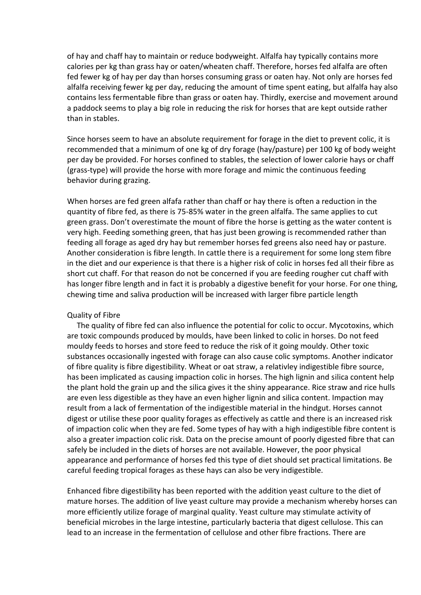of hay and chaff hay to maintain or reduce bodyweight. Alfalfa hay typically contains more calories per kg than grass hay or oaten/wheaten chaff. Therefore, horses fed alfalfa are often fed fewer kg of hay per day than horses consuming grass or oaten hay. Not only are horses fed alfalfa receiving fewer kg per day, reducing the amount of time spent eating, but alfalfa hay also contains less fermentable fibre than grass or oaten hay. Thirdly, exercise and movement around a paddock seems to play a big role in reducing the risk for horses that are kept outside rather than in stables.

Since horses seem to have an absolute requirement for forage in the diet to prevent colic, it is recommended that a minimum of one kg of dry forage (hay/pasture) per 100 kg of body weight per day be provided. For horses confined to stables, the selection of lower calorie hays or chaff (grass-type) will provide the horse with more forage and mimic the continuous feeding behavior during grazing.

When horses are fed green alfafa rather than chaff or hay there is often a reduction in the quantity of fibre fed, as there is 75-85% water in the green alfalfa. The same applies to cut green grass. Don't overestimate the mount of fibre the horse is getting as the water content is very high. Feeding something green, that has just been growing is recommended rather than feeding all forage as aged dry hay but remember horses fed greens also need hay or pasture. Another consideration is fibre length. In cattle there is a requirement for some long stem fibre in the diet and our experience is that there is a higher risk of colic in horses fed all their fibre as short cut chaff. For that reason do not be concerned if you are feeding rougher cut chaff with has longer fibre length and in fact it is probably a digestive benefit for your horse. For one thing, chewing time and saliva production will be increased with larger fibre particle length

## Quality of Fibre

 The quality of fibre fed can also influence the potential for colic to occur. Mycotoxins, which are toxic compounds produced by moulds, have been linked to colic in horses. Do not feed mouldy feeds to horses and store feed to reduce the risk of it going mouldy. Other toxic substances occasionally ingested with forage can also cause colic symptoms. Another indicator of fibre quality is fibre digestibility. Wheat or oat straw, a relativley indigestible fibre source, has been implicated as causing impaction colic in horses. The high lignin and silica content help the plant hold the grain up and the silica gives it the shiny appearance. Rice straw and rice hulls are even less digestible as they have an even higher lignin and silica content. Impaction may result from a lack of fermentation of the indigestible material in the hindgut. Horses cannot digest or utilise these poor quality forages as effectively as cattle and there is an increased risk of impaction colic when they are fed. Some types of hay with a high indigestible fibre content is also a greater impaction colic risk. Data on the precise amount of poorly digested fibre that can safely be included in the diets of horses are not available. However, the poor physical appearance and performance of horses fed this type of diet should set practical limitations. Be careful feeding tropical forages as these hays can also be very indigestible.

Enhanced fibre digestibility has been reported with the addition yeast culture to the diet of mature horses. The addition of live yeast culture may provide a mechanism whereby horses can more efficiently utilize forage of marginal quality. Yeast culture may stimulate activity of beneficial microbes in the large intestine, particularly bacteria that digest cellulose. This can lead to an increase in the fermentation of cellulose and other fibre fractions. There are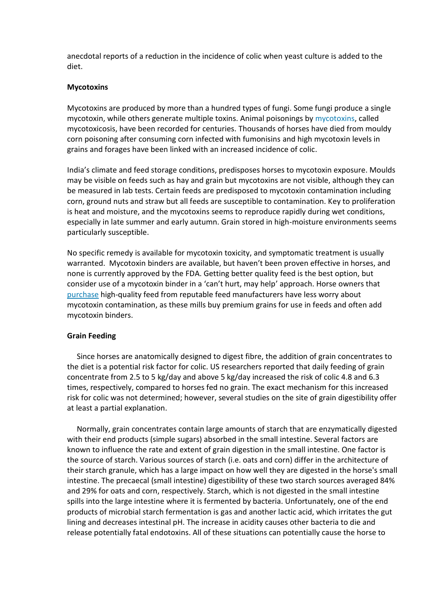anecdotal reports of a reduction in the incidence of colic when yeast culture is added to the diet.

#### **Mycotoxins**

Mycotoxins are produced by more than a hundred types of fungi. Some fungi produce a single mycotoxin, while others generate multiple toxins. Animal poisonings b[y mycotoxins,](http://www.equinews.com/article/mycotoxins) called mycotoxicosis, have been recorded for centuries. Thousands of horses have died from mouldy corn poisoning after consuming corn infected with fumonisins and high mycotoxin levels in grains and forages have been linked with an increased incidence of colic.

India's climate and feed storage conditions, predisposes horses to mycotoxin exposure. Moulds may be visible on feeds such as hay and grain but mycotoxins are not visible, although they can be measured in lab tests. Certain feeds are predisposed to mycotoxin contamination including corn, ground nuts and straw but all feeds are susceptible to contamination. Key to proliferation is heat and moisture, and the mycotoxins seems to reproduce rapidly during wet conditions, especially in late summer and early autumn. Grain stored in high-moisture environments seems particularly susceptible.

No specific remedy is available for mycotoxin toxicity, and symptomatic treatment is usually warranted. Mycotoxin binders are available, but haven't been proven effective in horses, and none is currently approved by the FDA. Getting better quality feed is the best option, but consider use of a mycotoxin binder in a 'can't hurt, may help' approach. Horse owners that [purchase](http://www.equinews.com/article/zearalenone-poisoning-horses) high-quality feed from reputable feed manufacturers have less worry about mycotoxin contamination, as these mills buy premium grains for use in feeds and often add mycotoxin binders.

#### **Grain Feeding**

 Since horses are anatomically designed to digest fibre, the addition of grain concentrates to the diet is a potential risk factor for colic. US researchers reported that daily feeding of grain concentrate from 2.5 to 5 kg/day and above 5 kg/day increased the risk of colic 4.8 and 6.3 times, respectively, compared to horses fed no grain. The exact mechanism for this increased risk for colic was not determined; however, several studies on the site of grain digestibility offer at least a partial explanation.

 Normally, grain concentrates contain large amounts of starch that are enzymatically digested with their end products (simple sugars) absorbed in the small intestine. Several factors are known to influence the rate and extent of grain digestion in the small intestine. One factor is the source of starch. Various sources of starch (i.e. oats and corn) differ in the architecture of their starch granule, which has a large impact on how well they are digested in the horse's small intestine. The precaecal (small intestine) digestibility of these two starch sources averaged 84% and 29% for oats and corn, respectively. Starch, which is not digested in the small intestine spills into the large intestine where it is fermented by bacteria. Unfortunately, one of the end products of microbial starch fermentation is gas and another lactic acid, which irritates the gut lining and decreases intestinal pH. The increase in acidity causes other bacteria to die and release potentially fatal endotoxins. All of these situations can potentially cause the horse to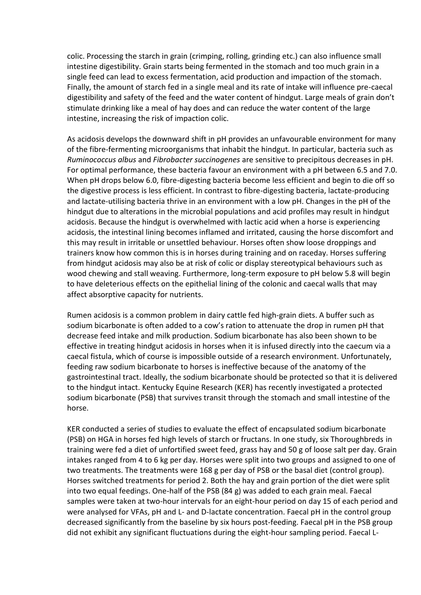colic. Processing the starch in grain (crimping, rolling, grinding etc.) can also influence small intestine digestibility. Grain starts being fermented in the stomach and too much grain in a single feed can lead to excess fermentation, acid production and impaction of the stomach. Finally, the amount of starch fed in a single meal and its rate of intake will influence pre-caecal digestibility and safety of the feed and the water content of hindgut. Large meals of grain don't stimulate drinking like a meal of hay does and can reduce the water content of the large intestine, increasing the risk of impaction colic.

As acidosis develops the downward shift in pH provides an unfavourable environment for many of the fibre-fermenting microorganisms that inhabit the hindgut. In particular, bacteria such as *Ruminococcus albus* and *Fibrobacter succinogenes* are sensitive to precipitous decreases in pH. For optimal performance, these bacteria favour an environment with a pH between 6.5 and 7.0. When pH drops below 6.0, fibre-digesting bacteria become less efficient and begin to die off so the digestive process is less efficient. In contrast to fibre-digesting bacteria, lactate-producing and lactate-utilising bacteria thrive in an environment with a low pH. Changes in the pH of the hindgut due to alterations in the microbial populations and acid profiles may result in hindgut acidosis. Because the hindgut is overwhelmed with lactic acid when a horse is experiencing acidosis, the intestinal lining becomes inflamed and irritated, causing the horse discomfort and this may result in irritable or unsettled behaviour. Horses often show loose droppings and trainers know how common this is in horses during training and on raceday. Horses suffering from hindgut acidosis may also be at risk of colic or display stereotypical behaviours such as wood chewing and stall weaving. Furthermore, long-term exposure to pH below 5.8 will begin to have deleterious effects on the epithelial lining of the colonic and caecal walls that may affect absorptive capacity for nutrients.

Rumen acidosis is a common problem in dairy cattle fed high-grain diets. A buffer such as sodium bicarbonate is often added to a cow's ration to attenuate the drop in rumen pH that decrease feed intake and milk production. Sodium bicarbonate has also been shown to be effective in treating hindgut acidosis in horses when it is infused directly into the caecum via a caecal fistula, which of course is impossible outside of a research environment. Unfortunately, feeding raw sodium bicarbonate to horses is ineffective because of the anatomy of the gastrointestinal tract. Ideally, the sodium bicarbonate should be protected so that it is delivered to the hindgut intact. Kentucky Equine Research (KER) has recently investigated a protected sodium bicarbonate (PSB) that survives transit through the stomach and small intestine of the horse.

KER conducted a series of studies to evaluate the effect of encapsulated sodium bicarbonate (PSB) on HGA in horses fed high levels of starch or fructans. In one study, six Thoroughbreds in training were fed a diet of unfortified sweet feed, grass hay and 50 g of loose salt per day. Grain intakes ranged from 4 to 6 kg per day. Horses were split into two groups and assigned to one of two treatments. The treatments were 168 g per day of PSB or the basal diet (control group). Horses switched treatments for period 2. Both the hay and grain portion of the diet were split into two equal feedings. One-half of the PSB (84 g) was added to each grain meal. Faecal samples were taken at two-hour intervals for an eight-hour period on day 15 of each period and were analysed for VFAs, pH and L- and D-lactate concentration. Faecal pH in the control group decreased significantly from the baseline by six hours post-feeding. Faecal pH in the PSB group did not exhibit any significant fluctuations during the eight-hour sampling period. Faecal L-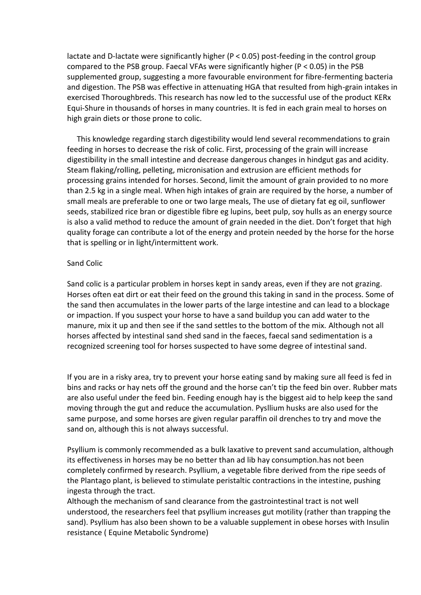lactate and D-lactate were significantly higher (P < 0.05) post-feeding in the control group compared to the PSB group. Faecal VFAs were significantly higher (P < 0.05) in the PSB supplemented group, suggesting a more favourable environment for fibre-fermenting bacteria and digestion. The PSB was effective in attenuating HGA that resulted from high-grain intakes in exercised Thoroughbreds. This research has now led to the successful use of the product KERx Equi-Shure in thousands of horses in many countries. It is fed in each grain meal to horses on high grain diets or those prone to colic.

 This knowledge regarding starch digestibility would lend several recommendations to grain feeding in horses to decrease the risk of colic. First, processing of the grain will increase digestibility in the small intestine and decrease dangerous changes in hindgut gas and acidity. Steam flaking/rolling, pelleting, micronisation and extrusion are efficient methods for processing grains intended for horses. Second, limit the amount of grain provided to no more than 2.5 kg in a single meal. When high intakes of grain are required by the horse, a number of small meals are preferable to one or two large meals, The use of dietary fat eg oil, sunflower seeds, stabilized rice bran or digestible fibre eg lupins, beet pulp, soy hulls as an energy source is also a valid method to reduce the amount of grain needed in the diet. Don't forget that high quality forage can contribute a lot of the energy and protein needed by the horse for the horse that is spelling or in light/intermittent work.

#### Sand Colic

Sand colic is a particular problem in horses kept in sandy areas, even if they are not grazing. Horses often eat dirt or eat their feed on the ground this taking in sand in the process. Some of the sand then accumulates in the lower parts of the large intestine and can lead to a blockage or impaction. If you suspect your horse to have a sand buildup you can add water to the manure, mix it up and then see if the sand settles to the bottom of the mix. Although not all horses affected by intestinal sand shed sand in the faeces, faecal sand sedimentation is a recognized screening tool for horses suspected to have some degree of intestinal sand.

If you are in a risky area, try to prevent your horse eating sand by making sure all feed is fed in bins and racks or hay nets off the ground and the horse can't tip the feed bin over. Rubber mats are also useful under the feed bin. Feeding enough hay is the biggest aid to help keep the sand moving through the gut and reduce the accumulation. Pysllium husks are also used for the same purpose, and some horses are given regular paraffin oil drenches to try and move the sand on, although this is not always successful.

Psyllium is commonly recommended as a bulk laxative to prevent sand accumulation, although its effectiveness in horses may be no better than ad lib hay consumption.has not been completely [confirmed](http://www.equinews.com/article/psyllium-and-probiotics-combination-prevention-sand-colic) by research. Psyllium, a vegetable fibre derived from the ripe seeds of the Plantago plant, is believed to stimulate peristaltic contractions in the intestine, pushing ingesta through the tract.

Although the mechanism of sand clearance from the gastrointestinal tract is not well understood, the researchers feel that psyllium increases gut motility (rather than trapping the sand). Psyllium has also been shown to be a valuable supplement in obese horses with Insulin resistance ( Equine Metabolic Syndrome)